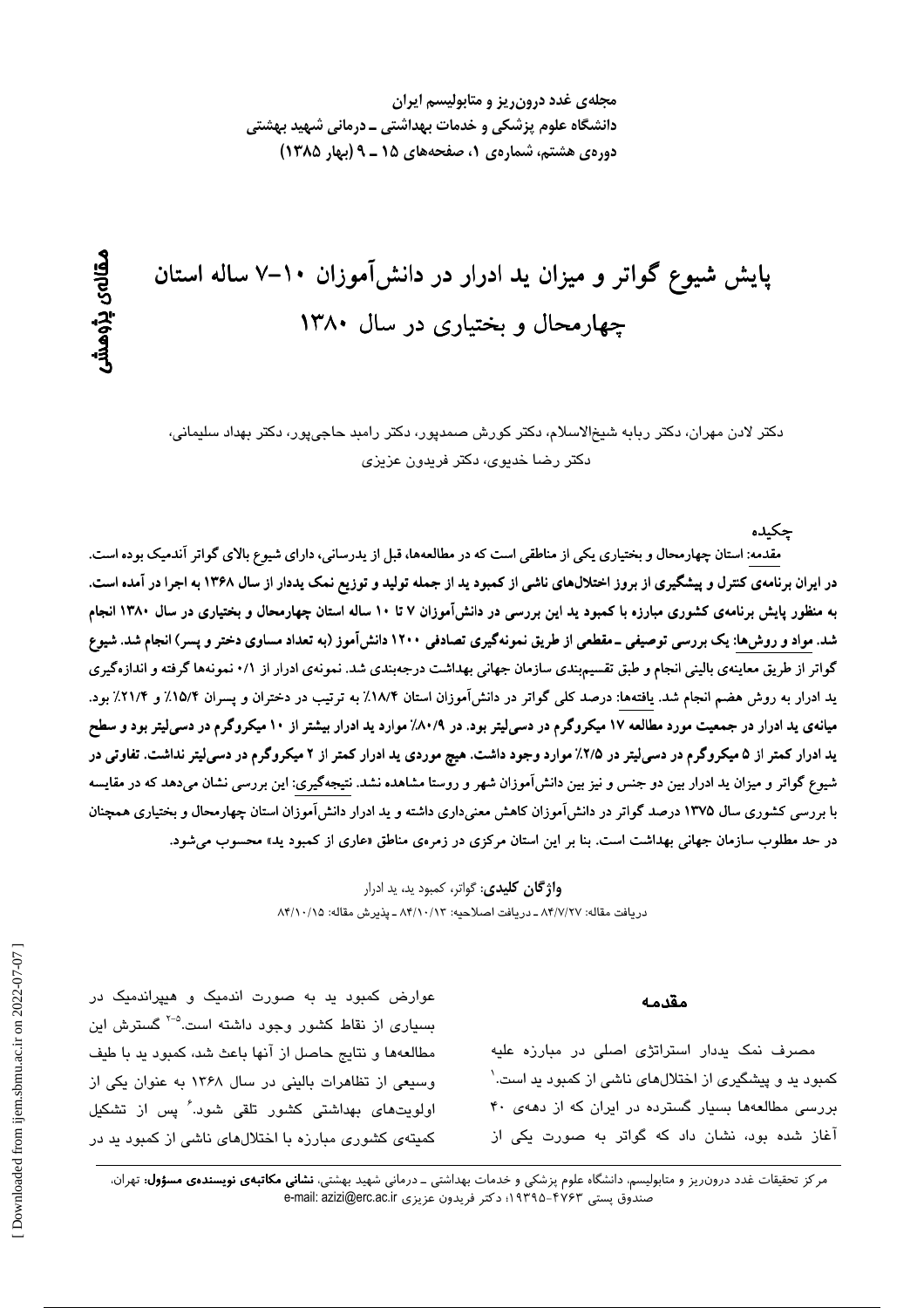مجلهی غدد درون ریز و متابولیسم ایران دانشگاه علوم پزشکی و خدمات بهداشتی ــ درمانی شهید بهشتی دورهی هشتم، شمارهی ۱، صفحههای ۱۵ ـ ۹ (بهار ۱۳۸۵)

# پایش شیوع گواتر و میزان ید ادرار در دانشآموزان ۱۰–۷ ساله استان چهارمحال و بختیاری در سال ۱۳۸۰

دکتر لادن مهران، دکتر ربابه شیخالاسلام، دکتر کورش صمدپور، دکتر رامبد حاجیپور، دکتر بهداد سلیمانی، دکتر رضا خدیوی، دکتر فریدون عزیزی

جكىدە

مقدمه: استان چهارمحال و بختیاری یکی از مناطقی است که در مطالعهها، قبل از یدرسانی، دارای شیوع بالای گواتر آندمیک بوده است. در ایران برنامهی کنترل و پیشگیری از بروز اختلالهای ناشی از کمبود ید از جمله تولید و توزیع نمک یددار از سال ۱۳۶۸ به اجرا در آمده است. به منظور پایش برنامهی کشوری مبارزه با کمبود ید این بررسی در دانشآموزان ۷ تا ۱۰ ساله استان چهارمحال و بختیاری در سال ۱۳۸۰ انجام شد. مواد و روش۵ا: یک بررسی توصیفی ــ مقطعی از طریق نمونهگیری تصادفی ۱۲۰۰ دانشآموز (به تعداد مساوی دختر و پسر) انجام شد. شیوع گواتر از طریق معاینهی بالینی انجام و طبق تقسیمبندی سازمان جهانی بهداشت درجهبندی شد. نمونهی ادرار از ۰/۱ نمونهها گرفته و اندازهگیری ید ادرار به روش هضم انجام شد. یافتهها: درصد کلی گواتر در دانشآموزان استان ۱۸/۴٪ به ترتیب در دختران و پسران ۱۵/۴٪ و ۲۱/۴٪ بود. میانهی ید ادرار در جمعیت مورد مطالعه ۱۷ میکروگرم در دسیلیتر بود. در ۸۰/۹٪ موارد ید ادرار بیشتر از ۱۰ میکروگرم در دسیلیتر بود و سطح ید ادرار کمتر از ۵ میکروگرم در دسی[یتر در ۲/۵٪ موارد وجود داشت. هیچ موردی ید ادرار کمتر از ۲ میکروگرم در دسی[یتر نداشت. تفاوتی در شیوع گواتر و میزان ید ادرار بین دو جنس و نیز بین دانشآموزان شهر و روستا مشاهده نشد. نتیجهگیری: این بررسی نشان میدهد که در مقایسه با بررسی کشوری سال ۱۳۷۵ درصد گواتر در دانشآموزان کاهش معنیداری داشته و ید ادرار دانشآموزان استان چهارمحال و بختیاری همچنان در حد مطلوب سازمان جهانی بهداشت است. بنا بر این استان مرکزی در زمرهی مناطق «عاری از کمبود ید» محسوب می شود.

> **واژگان کلیدی**: گواتر، کمبود ید، ید ادرار دريافت مقاله: ٨۴/٧/٢٧ ـ دريافت اصلاحيه: ٨۴/١٠/١٣ ـ يذيرش مقاله: ٨۴/١٠/١٥

#### مقدمه

مصرف نمک پددار استراتژی اصلی در مبارزه علیه کمبود ید و پیشگیری از اختلالهای ناشی از کمبود ید است.` بررسی مطالعهها بسیار گسترده در ایران که از دههی ۴۰ آغاز شده بود، نشان داد که گواتر به صورت یکی از

عوارض کمبود بد به صورت اندمیک و هیپراندمیک در بسیاری از نقاط کشور وجود داشته است.<sup>۵-۲</sup> گسترش این مطالعهها و نتايج حاصل از آنها باعث شد، كمبود يد با طيف وسیعی از تظاهرات بالینی در سال ۱۳۶۸ به عنوان یکی از اولویتهای بهداشتی کشور تلقی شود. ٔ پس از تشکیل کمیتهی کشوری مبارزه با اختلالهای ناشی از کمبود بد در

مرکز تحقیقات غدد درون٫یز و متابولیسم، دانشگاه علوم پزشکی و خدمات بهداشتی ــ درمانی شهید بهشتی، **نشانی مکاتبهی نویسندهی مسؤول:** تهران، صندوق يستى ۴۷۶۳-۱۹۳۹۵؛ دكتر فريدون عزيزى e-mail: azizi@erc.ac.ir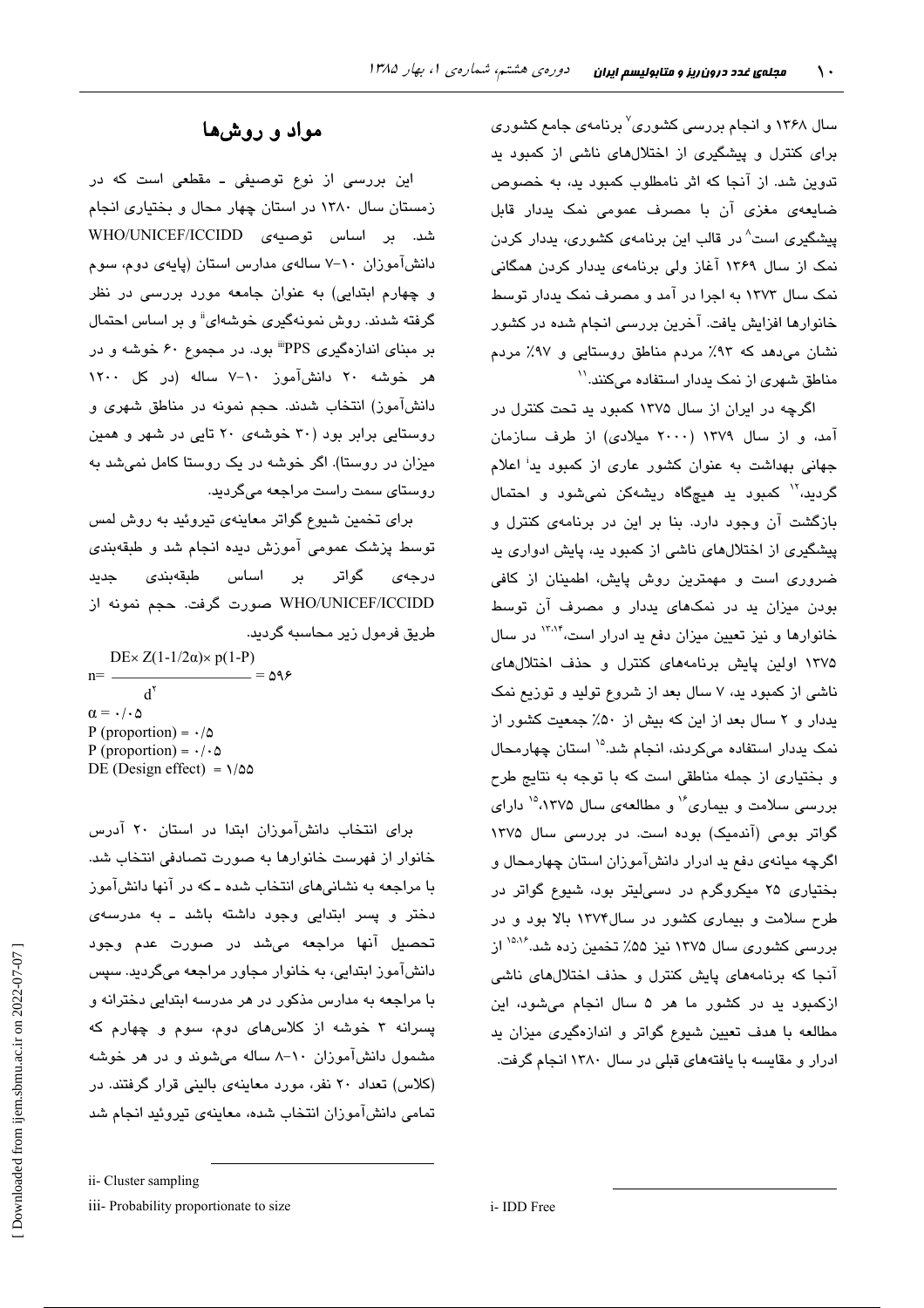سال ۱۳۶۸ و انجام بررسی کشوری<sup>۷</sup> برنامهی جامع کشوری برای کنترل و پیشگیری از اختلالهای ناشی از کمبود ید تدوین شد. از آنجا که اثر نامطلوب کمبود ید، به خصوص ضایعهی مغزی آن با مصرف عمومی نمک یددار قابل پیشگیری است<sup>^</sup> در قالب این برنامهی کشوری، پددار کردن نمک از سال ۱۳۶۹ آغاز ولی برنامهی پددار کردن همگانی نمک سال ۱۳۷۳ به اجرا در آمد و مصرف نمک پددار توسط خانوارها افزایش یافت. آخرین بررسی انجام شده در کشور نشان می دهد که ۹۳٪ مردم مناطق روستایی و ۹۷٪ مردم مناطق شهری از نمک یددار استفاده میکنند.''

اگرچه در ایران از سال ۱۳۷۵ کمبود بد تحت کنترل در آمد، و از سال ۱۳۷۹ (۲۰۰۰ میلادی) از طرف سازمان جهانی بهداشت به عنوان کشور عاری از کمبود پد<sup>:</sup> اعلام گردید،<sup>۱۲</sup> کمبود ید هیچگاه ریشهکن نمیشود و احتمال بازگشت آن وجود دارد. بنا بر این در برنامهی کنترل و پیشگیری از اختلالهای ناشی از کمبود ید، پایش ادواری ید ضروری است و مهمترین روش پایش، اطمینان از کافی بودن میزان بد در نمکهای بددار و مصرف آن توسط خانوارها و نیز تعیین میزان دفع ید ادرار است،<sup>۱۳٬۱۴</sup> در سال ۱۳۷۵ اولین پایش برنامههای کنترل و حذف اختلالهای ناشی از کمبود به، ۷ سال بعد از شروع تولید و توزیع نمک یددار و ۲ سال بعد از این که بیش از ۵۰٪ جمعیت کشور از نمک پددار استفاده میکردند، انجام شد.<sup>۱۵</sup> استان چهارمحال و بختیاری از جمله مناطقی است که با توجه به نتایج طرح بررسی سلامت و بیماری<sup>16</sup> و مطالعهی سال ۱۳۷۵<sup>۱۵</sup> دارای گواتر بومی (آندمیک) بوده است. در بررسی سال ۱۳۷۵ اگرچه مبانهی دفع بد ادرار دانشآموزان استان چهارمحال و بختیاری ۲۵ میکروگرم در دسی لیتر بود، شیوع گواتر در طرح سلامت و بیماری کشور در سال۱۳۷۴ بالا بود و در بررسی کشوری سال ۱۳۷۵ نیز ۵۵٪ تخمین زده شد.<sup>۱۵،۱۶</sup> از آنجا که برنامههای پایش کنترل و حذف اختلالهای ناشی ازکمبود ید در کشور ما هر ۵ سال انجام میشود، این مطالعه با هدف تعیین شیوع گواتر و اندازهگیری میزان ید ادرار و مقایسه با یافتههای قبلی در سال ۱۳۸۰ انجام گرفت.

## مواد و روشها

این بررسی از نوع توصیفی ـ مقطعی است که در زمستان سال ۱۳۸۰ در استان چهار محال و بختیاری انجام شد. بر اساس توصیهی WHO/UNICEF/ICCIDD دانشآموزان ۱۰-۷ سالهی مدارس استان (پایهی دوم، سوم و چهارم ابتدایی) به عنوان جامعه مورد بررسی در نظر گرفته شدند. روش نمونهگیری خوشهای<sup>ة</sup> و بر اساس احتمال بر مبنای اندازهگیری PPS" بود. در مجموع ۶۰ خوشه و در هر خوشه ۲۰ دانشآموز ۱۰–۷ ساله (در کل ۱۲۰۰ دانشآموز) انتخاب شدند. حجم نمونه در مناطق شهری و روستانی برابر بود (۳۰ خوشهی ۲۰ تابی در شهر و همین میزان در روستا). اگر خوشه در یک روستا کامل نمیشد به روستای سمت راست مراجعه میگردید.

برای تخمین شیوع گواتر معاینهی تیروئید به روش لمس توسط پزشک عمومی آموزش دیده انجام شد و طبقهبندی گواتر بر اساس طبقهبندی درجەى حدىد WHO/UNICEF/ICCIDD صورت گرفت. حجم نمونه از طريق فرمول زير محاسبه گرديد.

DEx  $Z(1-1/2\alpha)$  × p(1-P)  $= \Delta 98$  $n =$  $d^{\gamma}$  $\alpha = \cdot / \cdot \Delta$ P (proportion) =  $\cdot/\Delta$ P (proportion) =  $\cdot/\cdot \Delta$ DE (Design effect) =  $\sqrt{\omega}$ 

برای انتخاب دانشآموزان ابتدا در استان ۲۰ آدرس خانوار از فهرست خانوارها به صورت تصادفی انتخاب شد. با مراجعه به نشانیهای انتخاب شده ـ که در آنها دانشآموز دختر و پسر ابتدایی وجود داشته باشد ـ به مدرسهی تحصيل آنها مراجعه مى شد در صورت عدم وجود دانشآموز ابتدایی، به خانوار مجاور مراجعه میگردید. سپس با مراجعه به مدارس مذکور در هر مدرسه ابتدایی دخترانه و یسرانه ۳ خوشه از کلاسهای دوم، سوم و چهارم که مشمول دانشآموزان ۱۰-۸ ساله میشوند و در هر خوشه (کلاس) تعداد ۲۰ نفر، مورد معاینهی بالینی قرار گرفتند. در تمامی دانشآموزان انتخاب شده، معاینهی تیروئید انجام شد

ii- Cluster sampling

iii- Probability proportionate to size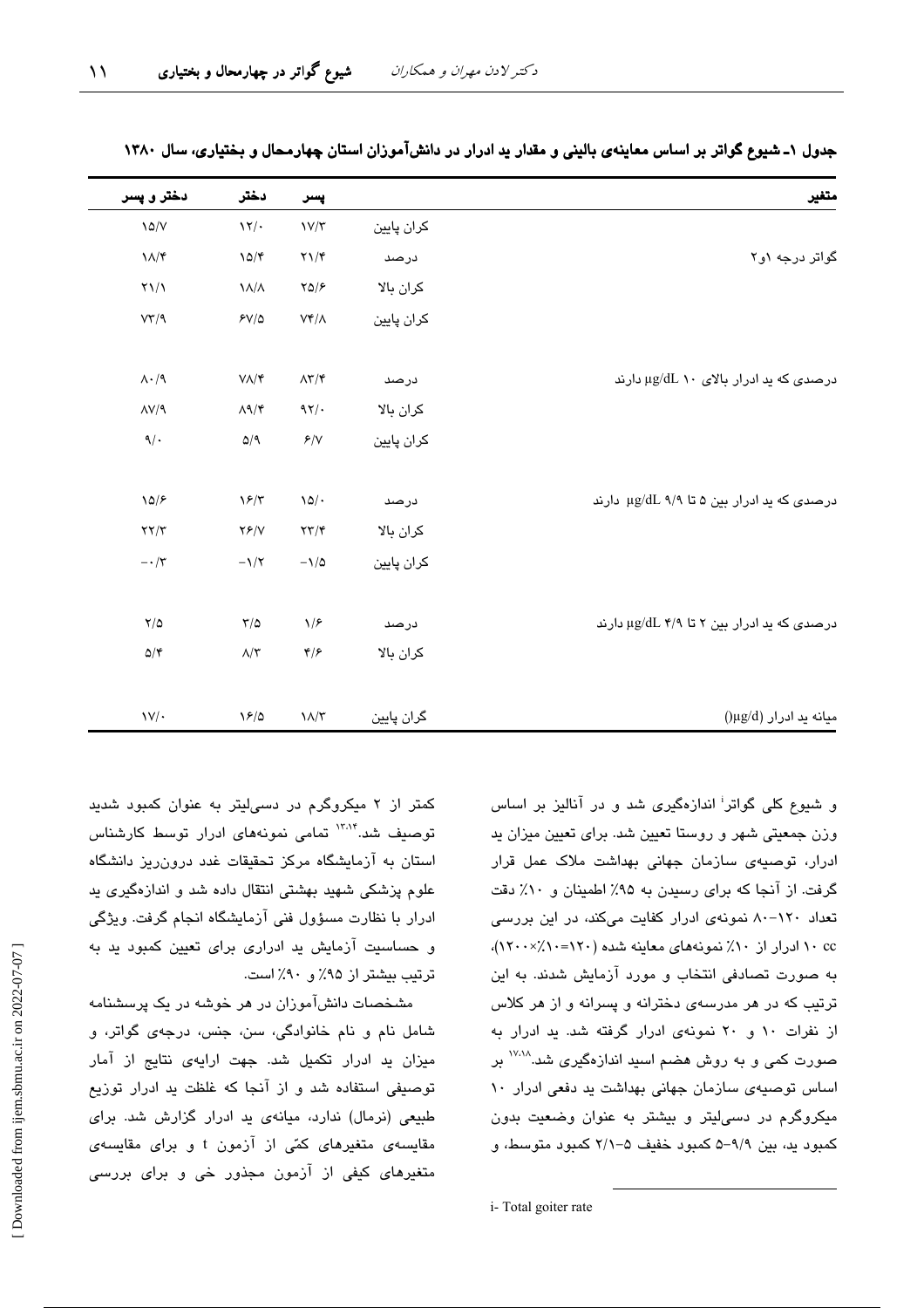| متغير                                      |            | پسر                                     | دختر                                            | دختر و پسر                        |
|--------------------------------------------|------------|-----------------------------------------|-------------------------------------------------|-----------------------------------|
|                                            | كران پايين | $\frac{1}{\sqrt{\pi}}$                  | $\gamma$                                        | $\lambda \Delta/V$                |
| گواتر درجه ۱و۲                             | درصد       | $\Upsilon \Upsilon$                     | $10/\mathcal{r}$                                | $\Lambda/\mathfrak{r}$            |
|                                            | كران بالا  | YQ/F                                    | $\lambda/\lambda$                               | $\Upsilon \setminus \Lambda$      |
|                                            | كران پايين | $\mathsf{V}\mathsf{f}/\mathsf{\Lambda}$ | $5V/\Delta$                                     | VT/9                              |
| درصدی که ید ادرار بالای ۱۰ µg/dL دارند     | درصد       | $\Lambda\Upsilon/\Upsilon$              | $V/\Upsilon$                                    | $\Lambda \cdot / \mathcal{A}$     |
|                                            | كران بالا  | 97/                                     | $\Lambda$ 1/۴                                   | $\Lambda V / 9$                   |
|                                            | كران پايين | $\mathcal{F}/\mathsf{V}$                | $\Delta/\mathop{\rm l\negthinspace q}\nolimits$ | $\mathcal{A}/\mathcal{A}$         |
| درصدی که ید ادرار بین ۵ تا ۹/۹ µg/dL دارند | درصد       | $\lambda \Delta / \cdot$                | $\sqrt{2/\tau}$                                 | 10/5                              |
|                                            | كران بالا  | $\mathbf{Y} \mathbf{Y} / \mathbf{Y}$    | YY/Y                                            | $\mathbf{Y}\mathbf{Y}/\mathbf{Y}$ |
|                                            | كران پايين | $-\lambda/\Delta$                       | $-\lambda/\tau$                                 | $-\cdot/\tau$                     |
| درصدی که ید ادرار بین ۲ تا ۳/۹ µg/dL دارند | درصد       | $\sqrt{2}$                              | $\tau/\vartriangle$                             | $\sqrt{\Delta}$                   |
|                                            | كران بالا  | $\mathfrak{r}/\mathfrak{r}$             | $\Lambda/\Upsilon$                              | $\Delta/\mathfrak{r}$             |
| $(\mu g/d)$ میانه ید ادرار                 | گران پایین | $\Lambda/\tau$                          | $\frac{5}{2}$                                   | $\mathsf{V}/\cdot$                |

جدول ۱ـ شیوع گواتر بر اساس معاینهی بالینی و مقدار ید ادرار در دانشآموزان استان چهارمحال و بختیاری، سال ۱۳۸۰

و شیوع کلی گواتر<sup>:</sup> اندازهگیری شد و در آنالیز بر اساس وزن جمعیتی شهر و روستا تعیین شد. برای تعیین میزان ید ادرار، توصیهی سازمان جهانی بهداشت ملاک عمل قرار گرفت. از آنجا که برای رسیدن به ۹۵٪ اطمینان و ۱۰٪ دقت تعداد ۱۲۰–۸۰ نمونهی ادرار کفایت میکند، در این بررسی ۰c ادرار از ۱۰٪ نمونههای معاینه شده (۱۲۰=۱۲۰٪۱۲۰۰). به صورت تصادفی انتخاب و مورد آزمایش شدند. به این ترتیب که در هر مدرسهی دخترانه و پسرانه و از هر کلاس از نفرات ١٠ و ٢٠ نمونهى ادرار گرفته شد. يد ادرار به صورت کمی و به روش هضم اسید اندازهگیری شد.<sup>۱۷،۱۸</sup> بر اساس توصیهی سازمان جهانی بهداشت ید دفعی ادرار ١٠ میکروگرم در دسهایتر و بیشتر به عنوان وضعیت بدون کمبود ید، بین ۹/۹–۵ کمبود خفیف ۵–۲/۱ کمبود متوسط، و

کمتر از ۲ میکروگرم در دسی لیتر به عنوان کمبود شدید توصیف شد.<sup>۱۳،۱۴</sup> تمامی نمونههای ادرار توسط کارشناس استان به آزمایشگاه مرکز تحقیقات غدد درون ریز دانشگاه علوم پزشکی شهید بهشتی انتقال داده شد و اندازهگیری ید ادرار با نظارت مسؤول فنی آزمایشگاه انجام گرفت. ویژگی و حساسیت آزمایش بد ادراری برای تعیین کمبود بد به ترتیب بیشتر از ۹۵٪ و ۹۰٪ است.

مشخصات دانشآموزان در هر خوشه در یک پرسشنامه شامل نام و نام خانوادگی، سن، جنس، درجهی گواتر، و .<br>میزان بد ادرار تکمیل شد. جهت ارایهی نتایج از آمار توصیفی استفاده شد و از آنجا که غلظت ید ادرار توزیع طبیعی (نرمال) ندارد، میانهی ید ادرار گزارش شد. برای مقایسهی متغیرهای کمّی از آزمون t و برای مقایسهی م**تغی**رهای کیفی از آزمون مجذور خی و برای بررسی

i-Total goiter rate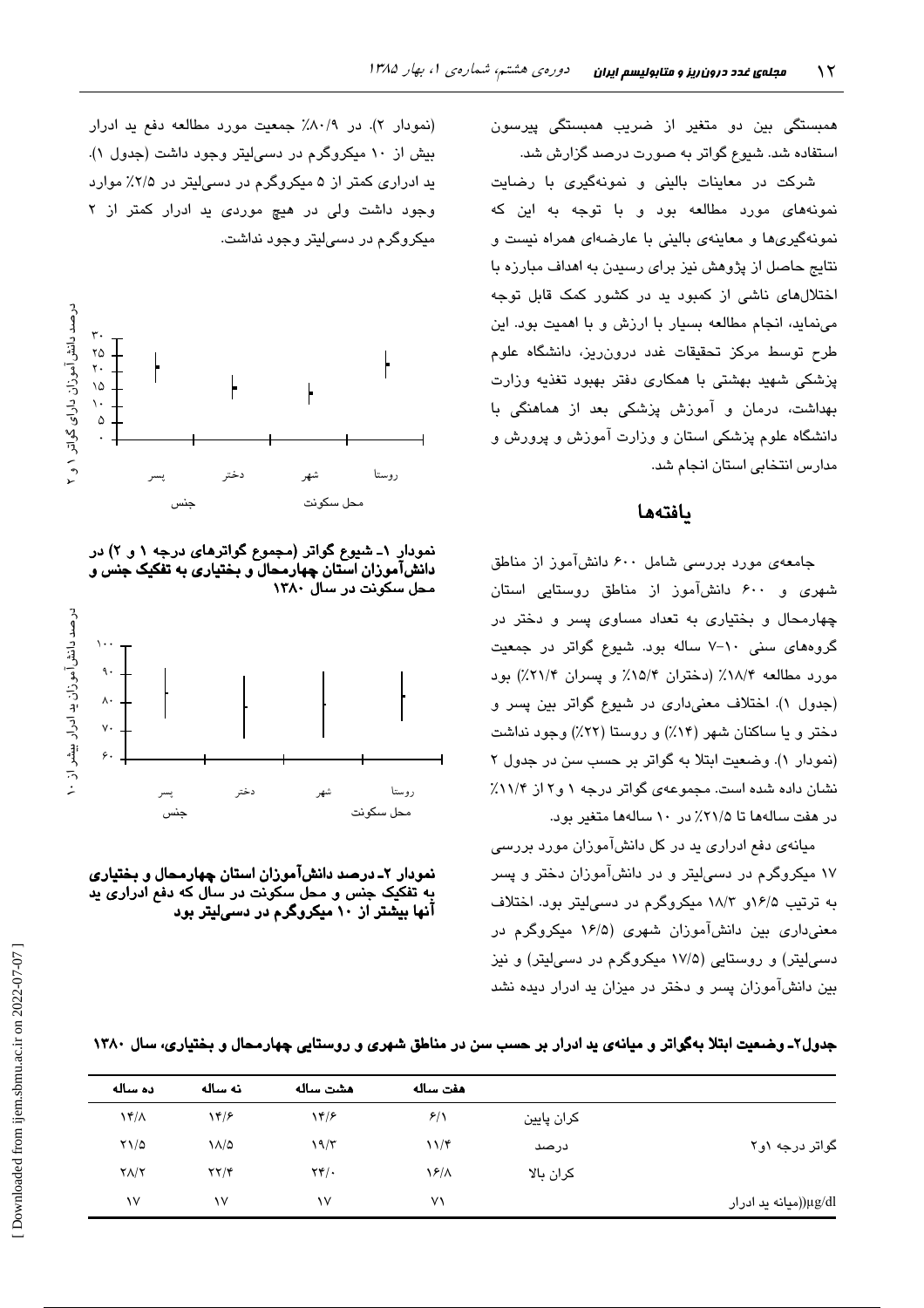همبستگی بین دو متغیر از ضریب همبستگی پیرسون استفاده شد. شیوع گواتر به صورت درصد گزارش شد.

شرکت در معاینات بالینی و نمونهگیری با رضایت .<br>نمونهها*ی* مورد مطالعه بود و با توجه به این که نمونهگیریها و معاینهی بالینی با عارضهای همراه نیست و نتایج حاصل از پژوهش نیز برای رسیدن به اهداف مبارزه با اختلالهای ناشی از کمبود ید در کشور کمک قابل توجه مینماید، انجام مطالعه بسیار با ارزش و با اهمیت بود. این طرح توسط مرکز تحقیقات غدد درون٫ریز، دانشگاه علوم پزشکی شهید بهشتی با همکاری دفتر بهبود تغذیه وزارت بهداشت، درمان و آموزش پزشکی بعد از هماهنگی با دانشگاه علوم پزشکی استان و وزارت آموزش و پرورش و مدارس انتخابی استان انجام شد.

### بافتهها

جامعهی مورد بررسی شامل ۶۰۰ دانشآموز از مناطق شهری و ۶۰۰ دانشآموز از مناطق روستایی استان چهارمحال و بختیاری به تعداد مساوی پسر و دختر در گروههای سنی ١٠-٧ ساله بود. شيوع گواتر در جمعيت مورد مطالعه ۱۸/۴٪ (دختران ۱۵/۴٪ و پسران ۲۱/۴٪) بود (جدول ۱). اختلاف معنیداری در شیوع گواتر بین پسر و دختر و یا ساکنان شهر (۱۴٪) و روستا (۲۲٪) وجود نداشت (نمودار ۱). وضعت ابتلا به گواتر بر حسب سن در جدول ۲ نشان داده شده است. مجموعهی گواتر درجه ۱ و۲ از ۱۱/۴٪ در هفت سالهها تا ۲۱/۵٪ در ۱۰ سالهها متغیر بود.

میانهی دفع ادراری ید در کل دانشآموزان مورد بررسی ۱۷ میکروگرم در دسهایتر و در دانشآموزان دختر و پسر به ترتیب ۱۶/۵و ۱۸/۳ میکروگرم در دسهالیتر بود. اختلاف معنی داری بین دانشآموزان شهری (۱۶/۵ میکروگرم در دسه ٍلیتر) و روستایی (۱۷/۵ میکروگرم در دسهالیتر) و نیز بین دانشآموزان پسر و دختر در میزان بد ادرار دیده نشد

(نمودار ۲). در ۸۰/۹٪ جمعیت مورد مطالعه دفع ید ادرار بیش از ۱۰ میکروگرم در دسی لیتر وجود داشت (جدول ۱). ید ادراری کمتر از ۵ میکروگرم در دسی لیتر در ۲/۵٪ موارد وجود داشت ولی در هیچ موردی ید ادرار کمتر از ۲ میکروگرم در دسے لیتر وجود نداشت.



نمودار ۱ـ شیوع گواتر (مجموع گواترهای درجه ۱ و ۲) در دانشآموزان استان چهارمحال ّو بختیاری به تفکیک جنس و محل سکونت در سال ۱۳۸۰



نمودار ۲ـ درصد دانشآموزان استان چهارمحال و بختیاری به تفکیک جنس و محل سکونت در سال که دفع ادراری پد آنها بیشتر از ۱۰ میکروگرم در دسیلیتر بود

| جدول۲ـ وضعیت ابتلا بهگواتر و میانهی ید ادرار بر حسب سن در مناطق شهری و روستایی چهارمحال و بختیاری، سال ۱۳۸۰ |  |
|-------------------------------------------------------------------------------------------------------------|--|
|-------------------------------------------------------------------------------------------------------------|--|

|                       |            | هفت ساله       | هشت ساله                          | نه ساله                           | ده ساله                  |
|-----------------------|------------|----------------|-----------------------------------|-----------------------------------|--------------------------|
|                       | كران پايين | 8/1            | $\gamma$                          | $\gamma$                          | $\lambda f/\lambda$      |
| گواتر درجه ۱و۲        | درصد       | $11/\zeta$     | ۱۹/۳                              | $\lambda/\Delta$                  | $Y\setminus\vartriangle$ |
|                       | كران بالا  | $\frac{12}{1}$ | $\mathsf{Y}\mathsf{Y}/\mathsf{Y}$ | $\mathbf{Y}\mathbf{Y}/\mathbf{Y}$ | $Y/\Upsilon$             |
| μg/dl((میانه ید ادرار |            | ۷١             | ١٧                                | ١V                                | ١٧                       |
|                       |            |                |                                   |                                   |                          |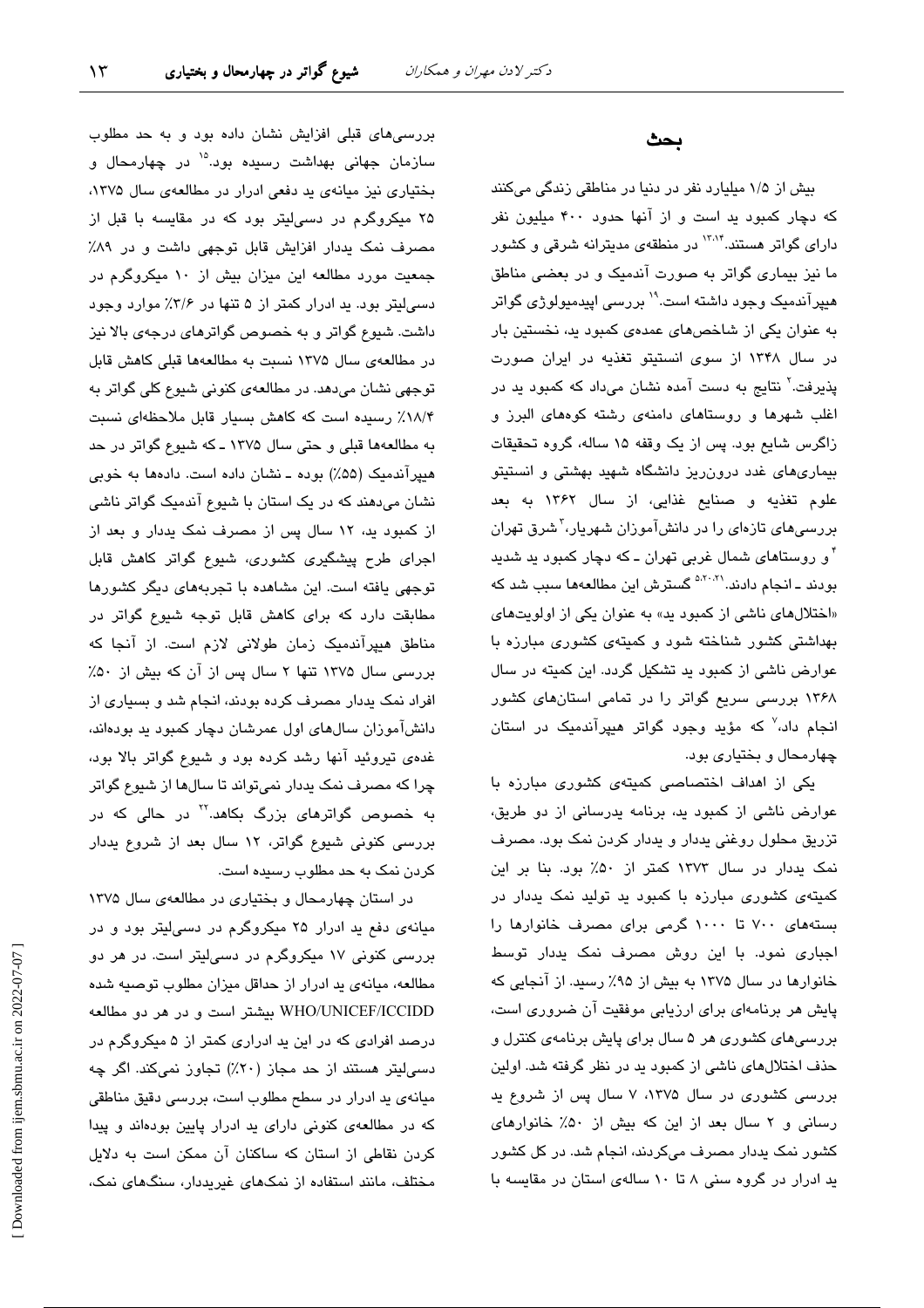بررسیهای قبلی افزایش نشان داده بود و به حد مطلوب سازمان جهانی بهداشت رسبده بود.<sup>۱۵</sup> در چهارمحال و بختیاری نیز میانهی ید دفعی ادرار در مطالعهی سال ۱۳۷۵، ۲۵ میکروگرم در دسیلیتر بود که در مقایسه با قبل از مصرف نمک یددار افزایش قابل توجهی داشت و در ۸۹٪ جمعیت مورد مطالعه این میزان بیش از ۱۰ میکروگرم در دسهایتر بود. ید ادرار کمتر از ۵ تنها در ۳/۶٪ موارد وجود داشت. شیوع گواتر و به خصوص گواترهای درجهی بالا نیز در مطالعهى سال ١٣٧۵ نسبت به مطالعهها قبلى كاهش قابل توجهی نشان میدهد. در مطالعهی کنونی شیوع کلی گواتر به ١٨/۴٪ رسیده است كه كاهش بسیار قابل ملاحظهای نسبت به مطالعهها قبلی و حتی سال ۱۳۷۵ ـ که شیوع گواتر در حد هیپرآندمیک (۵۵٪) بوده ـ نشان داده است. دادهها به خوبی نشان میدهند که در یک استان با شیوع آندمیک گواتر ناشی از کمبود ید، ١٢ سال پس از مصرف نمک یددار و بعد از اجرای طرح پیشگیری کشوری، شیوع گواتر کاهش قابل توجهی یافته است. این مشاهده با تجربههای دیگر کشورها مطابقت دارد که برای کاهش قابل توجه شیوع گواتر در مناطق هیپرآندمیک زمان طولانی لازم است. از آنجا که بررسی سال ۱۳۷۵ تنها ۲ سال پس از آن که بیش از ۵۰٪ افراد نمک پددار مصرف کرده بودند، انجام شد و بسیاری از دانشآموزان سالهای اول عمرشان دچار کمبود ید بودهاند، غدهی تیروئید آنها رشد کرده بود و شیوع گواتر بالا بود، چرا که مصرف نمک پددار نمیتواند تا سالها از شپوع گواتر به خصوص گواتر*ه*ای بزرگ بکاهد.<sup>۲۲</sup> در حالی که در بررسی کنونی شیوع گواتر، ۱۲ سال بعد از شروع پددار کردن نمک به حد مطلوب رسیده است.

در استان چهارمحال و بختیاری در مطالعهی سال ۱۳۷۵ میانهی دفع ید ادرار ۲۵ میکروگرم در دسی لیتر بود و در بررسی کنونی ۱۷ میکروگرم در دسی!یتر است. در هر دو مطالعه، میانهی ید ادرار از حداقل میزان مطلوب توصیه شده WHO/UNICEF/ICCIDD بیشتر است و در هر دو مطالعه درصد افرادی که در این ید ادراری کمتر از ۵ میکروگرم در دسی!پتر هستند از حد مجاز (۲۰٪) تجاوز نمیکند. اگر چه میانهی ید ادرار در سطح مطلوب است، بررسی دقیق مناطقی که در مطالعهی کنونی دارای ید ادرار پایین بودهاند و پیدا کردن نقاطی از استان که ساکنان آن ممکن است به دلایل مختلف، مانند استفاده از نمکهای غیریددار، سنگهای نمک،

#### بحث

بیش از ۱/۵ میلیارد نفر در دنیا در مناطقی زندگی میکنند که دچار کمبود ید است و از آنها حدود ۴۰۰ میلیون نفر دارا*ی* گواتر هستند.<sup>۱۳۸۴</sup> در منطقهی مدیترانه شرقی و کشور ما نیز بیماری گواتر به صورت آندمیک و در بعضی مناطق هیپرآندمیک وجود داشته است.'' بررسی اپیدمیولوژی گواتر به عنوان یکی از شاخصهای عمدهی کمبود ید، نخستین بار در سال ۱۳۴۸ از سوی انستیتو تغذیه در ایران صورت یذیرفت.<sup>۲</sup> نتایج به دست آمده نشان میداد که کمبود ید در اغلب شهرها و روستاهای دامنهی رشته کوههای البرز و زاگرس شایع بود. پس از یک وقفه ۱۵ ساله، گروه تحقیقات بیماریهای غدد درون ریز دانشگاه شهید بهشتی و انستیتو علوم تغذيه و صنايع غذايى، از سال ۱۳۶۲ به بعد بررسیهای تازهای را در دانشآموزان شهریار،<sup>۳</sup>شرق تهران <sup>۴</sup> و روستا*ه*ای شمال غربی تهران ــ که دچار کمبود ید شدید بودند ـ انجام دادند.<sup>۵،۲۰،۲۱</sup> گسترش این مطالعهها سبب شد که «اختلالهای ناشی از کمبود ید» به عنوان یکی از اولویتهای بهداشتی کشور شناخته شود و کمیتهی کشوری مبارزه با عوارض ناشی از کمبود ید تشکیل گردد. این کمیته در سال ۱۳۶۸ بررسی سریع گواتر را در تمامی استانهای کشور انجام داد،<sup>۷</sup> که مؤید وجود گواتر هیپرآندمیک در استان چهارمحال و بختیاری بود.

یکی از اهداف اختصاصی کمیتهی کشوری مبارزه با عوارض ناشی از کمبود ید، برنامه یدرسانی از دو طریق، تزریق محلول روغنی یددار و یددار کردن نمک بود. مصرف نمک یددار در سال ۱۳۷۳ کمتر از ۵۰٪ بود. بنا بر این کمیتهی کشوری مبارزه با کمبود ید تولید نمک یددار در بستههای ۷۰۰ تا ۱۰۰۰ گرمی برای مصرف خانوارها را اجباری نمود. با این روش مصرف نمک یددار توسط خانوارها در سال ۱۳۷۵ به بیش از ۹۵٪ رسید. از آنجایی که پایش هر برنامهای برای ارزیابی موفقیت آن ضروری است، بررسیهای کشوری هر ۵ سال برای پایش برنامهی کنترل و حذف اختلالهای ناشی از کمبود ید در نظر گرفته شد. اولین بررسی کشوری در سال ۱۳۷۵، ۷ سال پس از شروع ید رسانی و ٢ سال بعد از این كه بیش از ۵۰٪ خانوارهای کشور نمک یددار مصرف میکردند، انجام شد. در کل کشور ید ادرار در گروه سنی ۸ تا ۱۰ سالهی استان در مقایسه با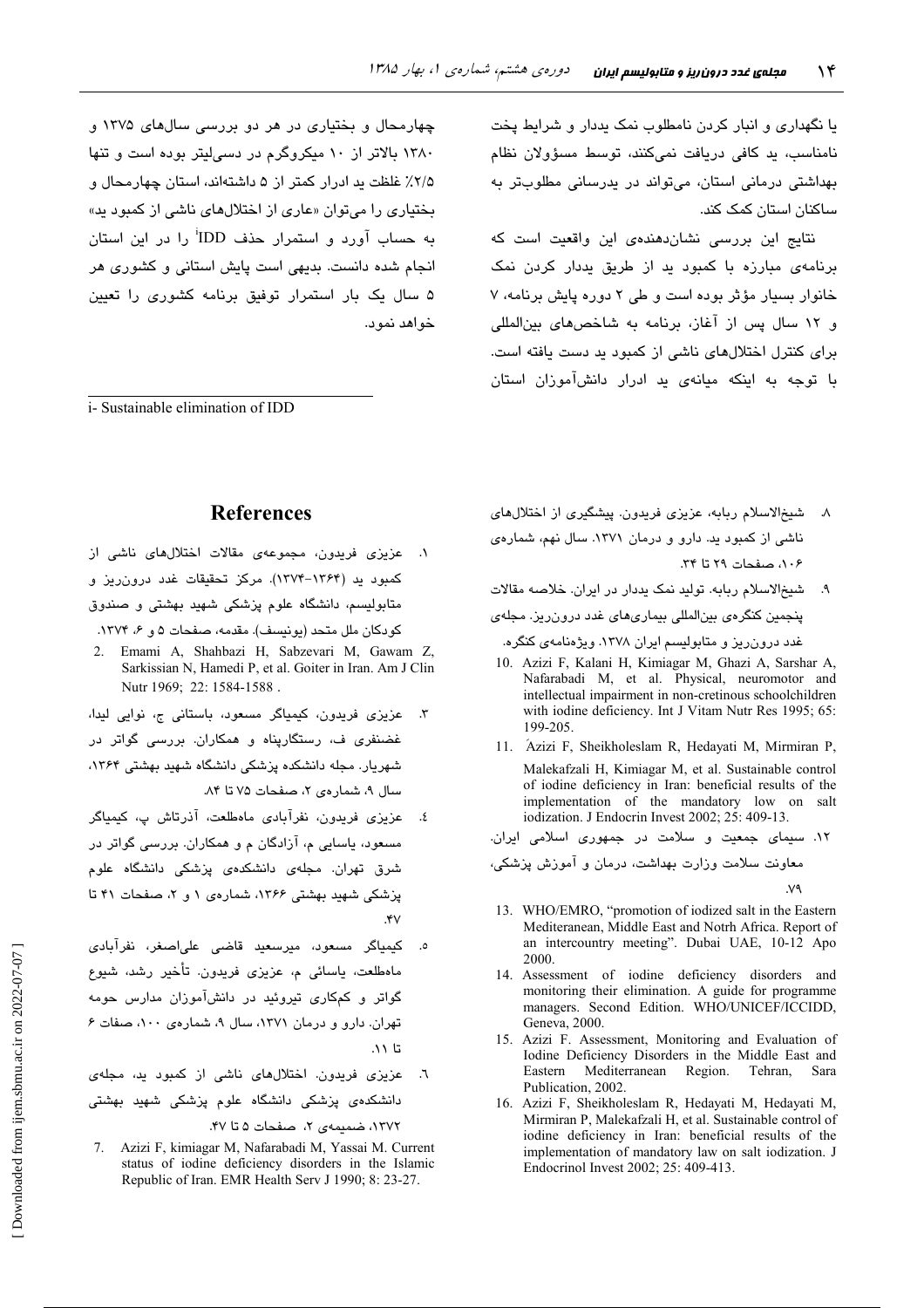چهارمحال و بختیاری در هر دو بررسی سالهای ۱۳۷۵ و ۱۳۸۰ بالاتر از ۱۰ میکروگرم در دسه لیتر بوده است و تنها ۲/۵٪ غلظت ید ادرار کمتر از ۵ داشتهاند، استان چهارمحال و بختیاری را میتوان «عاری از اختلالهای ناشی از کمبود ید» به حساب آورد و استمرار حذف IDD<sup>i</sup> را در این استان انجام شده دانست. بدیهی است پایش استانی و کشوری هر ۵ سال یک بار استمرار توفیق برنامه کشوری را تعیین خو آهد نمو د.

*i*-Sustainable elimination of IDD

یا نگهداری و انبار کردن نامطلوب نمک پددار و شرایط پخت نامناسب، ید کافی دریافت نمیکنند، توسط مسؤولان نظام بهداشتی درمانی استان، میتواند در پدرسانی مطلوبتر به ساکنان استان کمک کند.

نتایج این بررسی نشاندهندهی این واقعیت است که برنامهی مبارزه با کمبود ید از طریق یددار کردن نمک خانوار بسیار مؤثر بوده است و طی ٢ دوره پایش برنامه، ٧ و ١٢ سال پس از آغاز، برنامه به شاخص های بین المللی برای کنترل اختلالهای ناشی از کمبود ید دست یافته است. با توجه به اینکه میانهی ید ادرار دانشآموزان استان

### **References**

- ١. عزیزی فریدون، مجموعهی مقالات اختلالهای ناشی از کمبود بد (۱۳۶۴–۱۳۷۴). مرکز تحقیقات غدد درون ریز و متابولیسم، دانشگاه علوم پزشکی شهید بهشتی و صندوق کودکان ملل متحد (یونیسف). مقدمه، صفحات ۵ و ۶، ۱۳۷۴.
- Emami A, Shahbazi H, Sabzevari M, Gawam Z, Sarkissian N, Hamedi P, et al. Goiter in Iran. Am J Clin Nutr 1969; 22: 1584-1588.
- عزیزی فریدون، کیمیاگر مسعود، باستانی ج، نوایی لیدا،  $\mathbf{r}$ غضنفری ف، رستگارپناه و همکاران. بررسی گواتر در شهریار. مجله دانشکده پزشکی دانشگاه شهید بهشتی ۱۳۶۴، سال ۹، شمارهی ۲، صفحات ۷۵ تا ۸۴.
- عزیزی فریدون، نفرآبادی ماهطلعت، آذرتاش پ، کیمیاگر ٤. مسعود، پاسایی م، آزادگان م و همکاران. بررسی گواتر در شرق تهران. مجلهی دانشکدهی پزشکی دانشگاه علوم یزشکی شهید بهشتی ۱۳۶۶، شمارهی ۱ و ۲، صفحات ۴۱ تا  $.5V$
- کیمیاگر مسعود، میرسعید قاضی علی<mark>اصغر، نفرآبادی</mark> ماەطلعت، ياسائى م، عزيزى فريدون. تأخير رشد، شيوع گواتر و کمکاری تیروئید در دانشآموزان مدارس حومه تهران. دارو و درمان ١٣٧١، سال ٩، شمارهي ١٠٠، صفات ع تا ۱۱.
- عزیزی فریدون. اختلالهای ناشی از کمبود ید، مجلهی  $\mathcal{L}$ . دانشکدهی پزشکی دانشگاه علوم پزشکی شه<mark>ید بهشت</mark>ی ١٣٧٢، ضميمهى ٢، صفحات ۵ تا ۴۷.
- 7. Azizi F, kimiagar M, Nafarabadi M, Yassai M. Current status of iodine deficiency disorders in the Islamic Republic of Iran. EMR Health Serv J 1990; 8: 23-27.
- ٨. شيخالاسلام ربابه، عزيزي فريدون. پيشگيري از اختلالهاي ناشی از کمبود ید. دارو و درمان ۱۳۷۱. سال نهم، شمارهی ٠٠۶، صفحات ٢٩ تا ٣٣.
- شيخ الاسلام ربابه. توليد نمک يددار در ايران. خلاصه مقالات  $\cdot$ پنجمین کنگرهی بینالمللی بیماریهای غدد درون ریز. مجلهی غدد درون ریز و متابولیسم ایران ۱۳۷۸. ویژهنامهی کنگره.
- 10. Azizi F, Kalani H, Kimiagar M, Ghazi A, Sarshar A, Nafarabadi M, et al. Physical, neuromotor and intellectual impairment in non-cretinous schoolchildren with iodine deficiency. Int J Vitam Nutr Res 1995; 65: 199-205
- 11. Ázizi F, Sheikholeslam R, Hedayati M, Mirmiran P, Malekafzali H, Kimiagar M, et al. Sustainable control of iodine deficiency in Iran: beneficial results of the implementation of the mandatory low on salt iodization. J Endocrin Invest 2002; 25: 409-13.
- ۱۲. سیمای جمعیت و سلامت در جمهوری اسلامی ایران.
- معاونت سلامت وزارت بهداشت، درمان و آموزش پزشکی،
- 13. WHO/EMRO, "promotion of iodized salt in the Eastern Mediteranean, Middle East and Notrh Africa. Report of an intercountry meeting". Dubai UAE, 10-12 Apo 2000
- 14. Assessment of iodine deficiency disorders and monitoring their elimination. A guide for programme managers. Second Edition. WHO/UNICEF/ICCIDD, Geneva, 2000.
- 15. Azizi F. Assessment, Monitoring and Evaluation of Iodine Deficiency Disorders in the Middle East and Mediterranean Region. Tehran, Eastern - Sara Publication, 2002.
- 16. Azizi F. Sheikholeslam R. Hedavati M. Hedavati M. Mirmiran P, Malekafzali H, et al. Sustainable control of iodine deficiency in Iran: beneficial results of the implementation of mandatory law on salt iodization. J Endocrinol Invest 2002; 25: 409-413.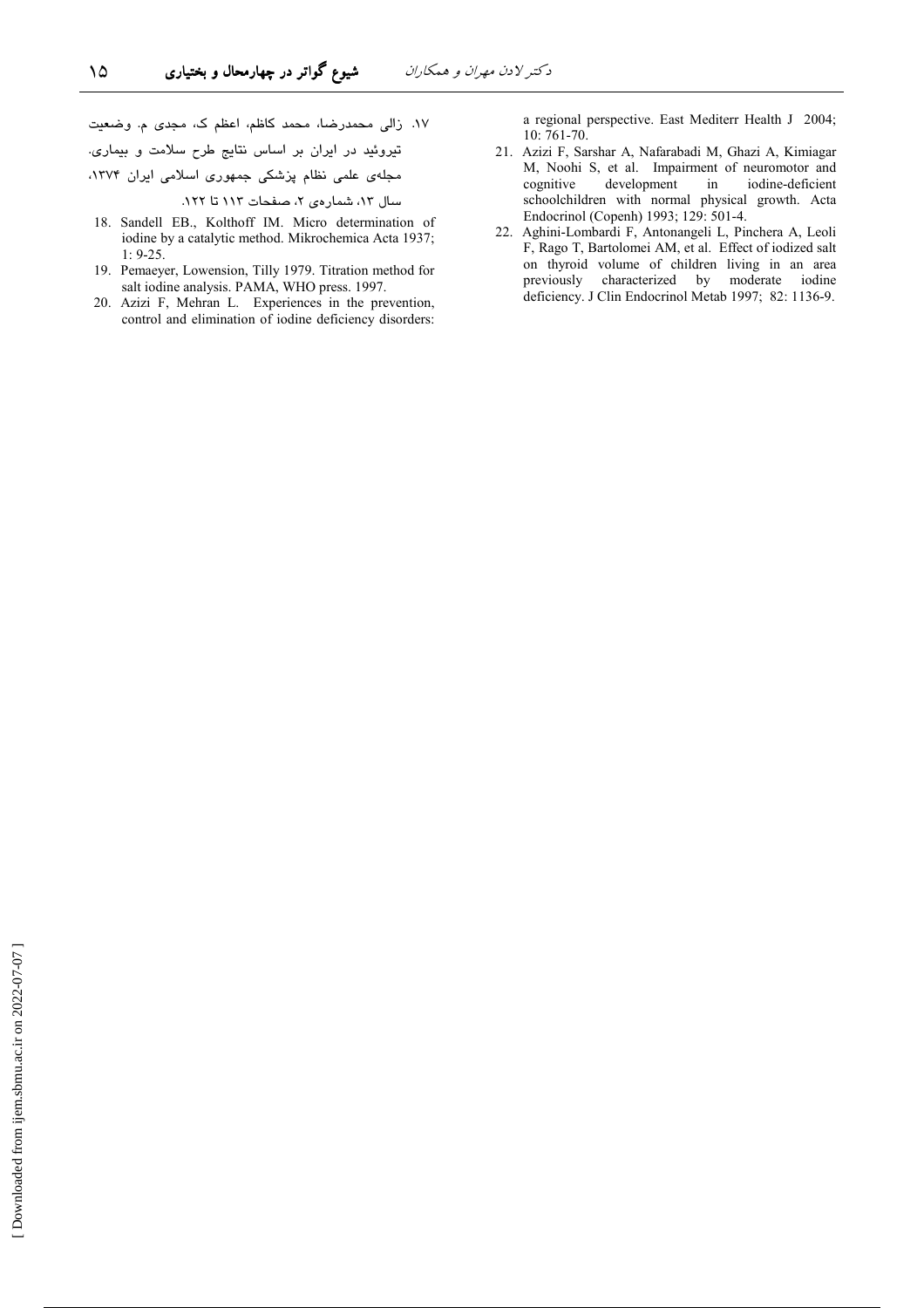١٧. زالي محمدرضا، محمد كاظم، اعظم ك، مجدى م. وضعيت تیروئید در ایران بر اساس نتایج طرح سلامت و بیماری. مجلهی علمی نظام پزشکی جمهوری اسلامی ایران ۱۳۷۴، سال ١٢، شمارهي ٢، صفحات ١١٣ تا ١٢٢.

۱۵

- 18. Sandell EB., Kolthoff IM. Micro determination of iodine by a catalytic method. Mikrochemica Acta 1937;  $1: 9-25.$
- 19. Pemaeyer, Lowension, Tilly 1979. Titration method for salt iodine analysis. PAMA, WHO press. 1997.
- 20. Azizi F, Mehran L. Experiences in the prevention, control and elimination of iodine deficiency disorders:

a regional perspective. East Mediterr Health J 2004; 10:761-70.

- 21. Azizi F, Sarshar A, Nafarabadi M, Ghazi A, Kimiagar M, Noohi S, et al. Impairment of neuromotor and development iodine-deficient cognitive in schoolchildren with normal physical growth. Acta Endocrinol (Copenh) 1993; 129: 501-4.
- 22. Aghini-Lombardi F, Antonangeli L, Pinchera A, Leoli F, Rago T, Bartolomei AM, et al. Effect of iodized salt on thyroid volume of children living in an area previously characterized by moderate iodine deficiency. J Clin Endocrinol Metab 1997; 82: 1136-9.